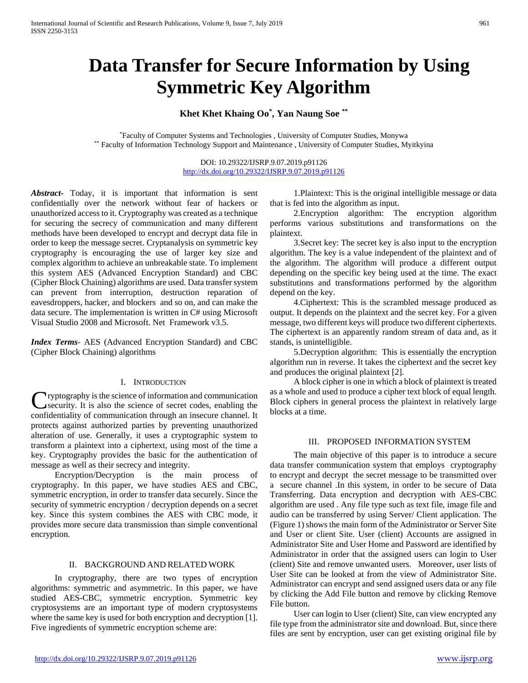# **Data Transfer for Secure Information by Using Symmetric Key Algorithm**

# **Khet Khet Khaing Oo\* , Yan Naung Soe \*\***

\*Faculty of Computer Systems and Technologies , University of Computer Studies, Monywa \*\* Faculty of Information Technology Support and Maintenance , University of Computer Studies, Myitkyina

> DOI: 10.29322/IJSRP.9.07.2019.p91126 <http://dx.doi.org/10.29322/IJSRP.9.07.2019.p91126>

*Abstract***-** Today, it is important that information is sent confidentially over the network without fear of hackers or unauthorized access to it. Cryptography was created as a technique for securing the secrecy of communication and many different methods have been developed to encrypt and decrypt data file in order to keep the message secret. Cryptanalysis on symmetric key cryptography is encouraging the use of larger key size and complex algorithm to achieve an unbreakable state. To implement this system AES (Advanced Encryption Standard) and CBC (Cipher Block Chaining) algorithms are used. Data transfer system can prevent from interruption, destruction reparation of eavesdroppers, hacker, and blockers and so on, and can make the data secure. The implementation is written in C# using Microsoft Visual Studio 2008 and Microsoft. Net Framework v3.5.

*Index Terms*- AES (Advanced Encryption Standard) and CBC (Cipher Block Chaining) algorithms

## I. INTRODUCTION

ryptography is the science of information and communication security. It is also the science of secret codes, enabling the Cryptography is the science of information and communication<br>security. It is also the science of secret codes, enabling the<br>confidentiality of communication through an insecure channel. It protects against authorized parties by preventing unauthorized alteration of use. Generally, it uses a cryptographic system to transform a plaintext into a ciphertext, using most of the time a key. Cryptography provides the basic for the authentication of message as well as their secrecy and integrity.

 Encryption/Decryption is the main process of cryptography. In this paper, we have studies AES and CBC, symmetric encryption, in order to transfer data securely. Since the security of symmetric encryption / decryption depends on a secret key. Since this system combines the AES with CBC mode, it provides more secure data transmission than simple conventional encryption.

## II. BACKGROUND AND RELATED WORK

 In cryptography, there are two types of encryption algorithms: symmetric and asymmetric. In this paper, we have studied AES-CBC, symmetric encryption. Symmetric key cryptosystems are an important type of modern cryptosystems where the same key is used for both encryption and decryption [1]. Five ingredients of symmetric encryption scheme are:

 1.Plaintext: This is the original intelligible message or data that is fed into the algorithm as input.

 2.Encryption algorithm: The encryption algorithm performs various substitutions and transformations on the plaintext.

 3.Secret key: The secret key is also input to the encryption algorithm. The key is a value independent of the plaintext and of the algorithm. The algorithm will produce a different output depending on the specific key being used at the time. The exact substitutions and transformations performed by the algorithm depend on the key.

 4.Ciphertext: This is the scrambled message produced as output. It depends on the plaintext and the secret key. For a given message, two different keys will produce two different ciphertexts. The ciphertext is an apparently random stream of data and, as it stands, is unintelligible.

 5.Decryption algorithm: This is essentially the encryption algorithm run in reverse. It takes the ciphertext and the secret key and produces the original plaintext [2].

 A block cipher is one in which a block of plaintext is treated as a whole and used to produce a cipher text block of equal length. Block ciphers in general process the plaintext in relatively large blocks at a time.

## III. PROPOSED INFORMATION SYSTEM

 The main objective of this paper is to introduce a secure data transfer communication system that employs cryptography to encrypt and decrypt the secret message to be transmitted over a secure channel .In this system, in order to be secure of Data Transferring. Data encryption and decryption with AES-CBC algorithm are used . Any file type such as text file, image file and audio can be transferred by using Server/ Client application. The (Figure 1) shows the main form of the Administrator or Server Site and User or client Site. User (client) Accounts are assigned in Administrator Site and User Home and Password are identified by Administrator in order that the assigned users can login to User (client) Site and remove unwanted users. Moreover, user lists of User Site can be looked at from the view of Administrator Site. Administrator can encrypt and send assigned users data or any file by clicking the Add File button and remove by clicking Remove File button.

 User can login to User (client) Site, can view encrypted any file type from the administrator site and download. But, since there files are sent by encryption, user can get existing original file by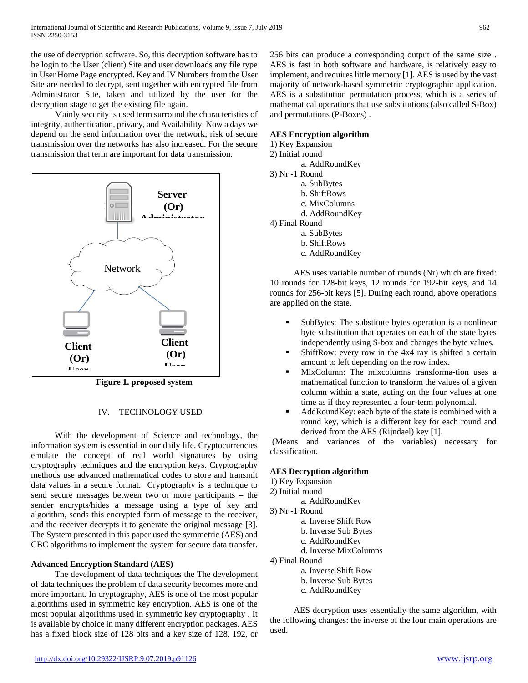the use of decryption software. So, this decryption software has to be login to the User (client) Site and user downloads any file type in User Home Page encrypted. Key and IV Numbers from the User Site are needed to decrypt, sent together with encrypted file from Administrator Site, taken and utilized by the user for the decryption stage to get the existing file again.

 Mainly security is used term surround the characteristics of integrity, authentication, privacy, and Availability. Now a days we depend on the send information over the network; risk of secure transmission over the networks has also increased. For the secure transmission that term are important for data transmission.



**Figure 1. proposed system**

## IV. TECHNOLOGY USED

 With the development of Science and technology, the information system is essential in our daily life. Cryptocurrencies emulate the concept of real world signatures by using cryptography techniques and the encryption keys. Cryptography methods use advanced mathematical codes to store and transmit data values in a secure format. Cryptography is a technique to send secure messages between two or more participants – the sender encrypts/hides a message using a type of key and algorithm, sends this encrypted form of message to the receiver, and the receiver decrypts it to generate the original message [3]. The System presented in this paper used the symmetric (AES) and CBC algorithms to implement the system for secure data transfer.

## **Advanced Encryption Standard (AES)**

 The development of data techniques the The development of data techniques the problem of data security becomes more and more important. In cryptography, AES is one of the most popular algorithms used in symmetric key encryption. AES is one of the most popular algorithms used in symmetric key cryptography . It is available by choice in many different encryption packages. AES has a fixed block size of 128 bits and a key size of 128, 192, or 256 bits can produce a corresponding output of the same size . AES is fast in both software and hardware, is relatively easy to implement, and requires little memory [1]. AES is used by the vast majority of network-based symmetric cryptographic application. AES is a substitution permutation process, which is a series of mathematical operations that use substitutions (also called S-Box) and permutations (P-Boxes) .

## **AES Encryption algorithm**

1) Key Expansion

- 2) Initial round
	- a. AddRoundKey
- 3) Nr -1 Round
	- a. SubBytes
	- b. ShiftRows
	- c. MixColumns
	- d. AddRoundKey
- 4) Final Round
	- a. SubBytes
	- b. ShiftRows
	- c. AddRoundKey

 AES uses variable number of rounds (Nr) which are fixed: 10 rounds for 128-bit keys, 12 rounds for 192-bit keys, and 14 rounds for 256-bit keys [5]. During each round, above operations are applied on the state.

- SubBytes: The substitute bytes operation is a nonlinear byte substitution that operates on each of the state bytes independently using S-box and changes the byte values.
- ShiftRow: every row in the 4x4 ray is shifted a certain amount to left depending on the row index.
- MixColumn: The mixcolumns transforma-tion uses a mathematical function to transform the values of a given column within a state, acting on the four values at one time as if they represented a four-term polynomial.
- AddRoundKey: each byte of the state is combined with a round key, which is a different key for each round and derived from the AES (Rijndael) key [1].

(Means and variances of the variables) necessary for classification.

## **AES Decryption algorithm**

- 1) Key Expansion
- 2) Initial round
	- a. AddRoundKey
- 3) Nr -1 Round
	- a. Inverse Shift Row
	- b. Inverse Sub Bytes
	- c. AddRoundKey
	- d. Inverse MixColumns
- 4) Final Round
	- a. Inverse Shift Row
	- b. Inverse Sub Bytes
	- c. AddRoundKey

 AES decryption uses essentially the same algorithm, with the following changes: the inverse of the four main operations are used.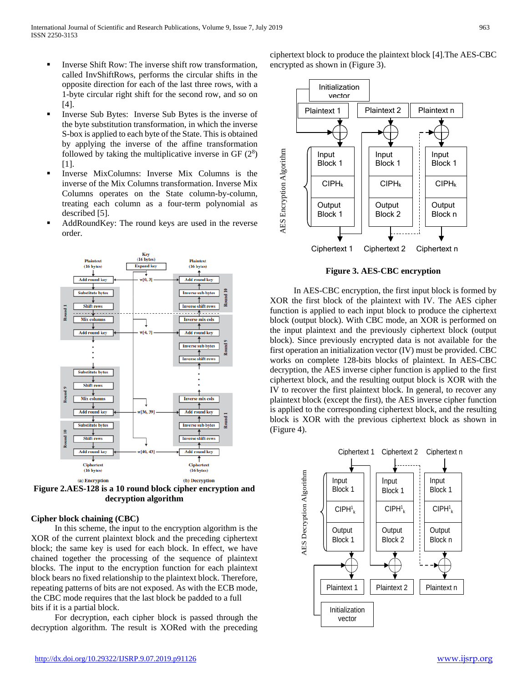- Inverse Shift Row: The inverse shift row transformation, called InvShiftRows, performs the circular shifts in the opposite direction for each of the last three rows, with a 1-byte circular right shift for the second row, and so on [4].
- Inverse Sub Bytes: Inverse Sub Bytes is the inverse of the byte substitution transformation, in which the inverse S-box is applied to each byte of the State. This is obtained by applying the inverse of the affine transformation followed by taking the multiplicative inverse in GF  $(2^8)$ [1].
- Inverse MixColumns: Inverse Mix Columns is the inverse of the Mix Columns transformation. Inverse Mix Columns operates on the State column-by-column, treating each column as a four-term polynomial as described [5].
- AddRoundKey: The round keys are used in the reverse order.



**Figure 2.AES-128 is a 10 round block cipher encryption and decryption algorithm**

# **Cipher block chaining (CBC)**

 In this scheme, the input to the encryption algorithm is the XOR of the current plaintext block and the preceding ciphertext block; the same key is used for each block. In effect, we have chained together the processing of the sequence of plaintext blocks. The input to the encryption function for each plaintext block bears no fixed relationship to the plaintext block. Therefore, repeating patterns of bits are not exposed. As with the ECB mode, the CBC mode requires that the last block be padded to a full bits if it is a partial block.

 For decryption, each cipher block is passed through the decryption algorithm. The result is XORed with the preceding



**Figure 3. AES-CBC encryption**

 In AES-CBC encryption, the first input block is formed by XOR the first block of the plaintext with IV. The AES cipher function is applied to each input block to produce the ciphertext block (output block). With CBC mode, an XOR is performed on the input plaintext and the previously ciphertext block (output block). Since previously encrypted data is not available for the first operation an initialization vector (IV) must be provided. CBC works on complete 128-bits blocks of plaintext. In AES-CBC decryption, the AES inverse cipher function is applied to the first ciphertext block, and the resulting output block is XOR with the IV to recover the first plaintext block. In general, to recover any plaintext block (except the first), the AES inverse cipher function is applied to the corresponding ciphertext block, and the resulting block is XOR with the previous ciphertext block as shown in (Figure 4).

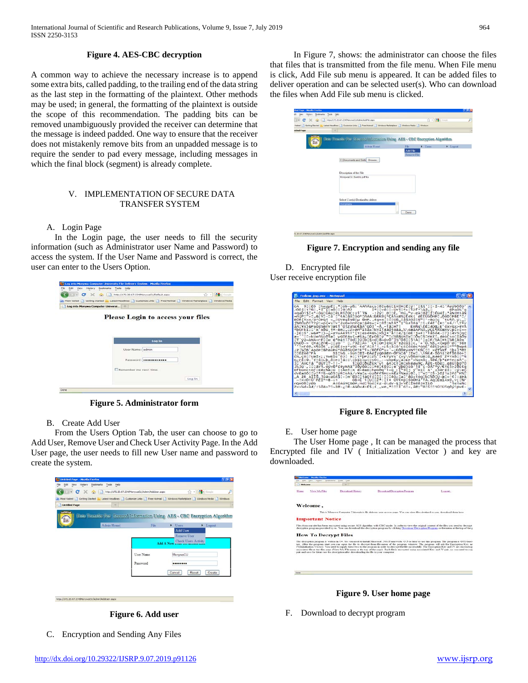## **Figure 4. AES-CBC decryption**

A common way to achieve the necessary increase is to append some extra bits, called padding, to the trailing end of the data string as the last step in the formatting of the plaintext. Other methods may be used; in general, the formatting of the plaintext is outside the scope of this recommendation. The padding bits can be removed unambiguously provided the receiver can determine that the message is indeed padded. One way to ensure that the receiver does not mistakenly remove bits from an unpadded message is to require the sender to pad every message, including messages in which the final block (segment) is already complete.

## V. IMPLEMENTATION OF SECURE DATA TRANSFER SYSTEM

A. Login Page

 In the Login page, the user needs to fill the security information (such as Administrator user Name and Password) to access the system. If the User Name and Password is correct, the user can enter to the Users Option.

| - C X ( Mbi //172.20.67.234/NonywaCU/Default.ospx<br>Host Visited Cetting Etarted Latest Headlines Costemize Links Pree Hetmail Vindows Marketplace Vindows Media | ☆ - 4 - -                                                    |  |
|-------------------------------------------------------------------------------------------------------------------------------------------------------------------|--------------------------------------------------------------|--|
|                                                                                                                                                                   |                                                              |  |
|                                                                                                                                                                   |                                                              |  |
| Log into Monywa Computer Universi                                                                                                                                 |                                                              |  |
| Log In                                                                                                                                                            |                                                              |  |
| Password: evenesseess                                                                                                                                             |                                                              |  |
| Remember me next time.                                                                                                                                            | Log In                                                       |  |
|                                                                                                                                                                   | <b>Please Login to access your files</b><br>User Name: admin |  |

**Figure 5. Administrator form**

B. Create Add User

 From the Users Option Tab, the user can choose to go to Add User, Remove User and Check User Activity Page. In the Add User page, the user needs to fill new User name and password to create the system.

|                      | → C X → Thttp://172.20.67.234/MonywaCU/Admin/AddJser.aspx                                                            |           |                                | √ - <b>M</b> Google<br>£ |
|----------------------|----------------------------------------------------------------------------------------------------------------------|-----------|--------------------------------|--------------------------|
|                      | Nost Visited Getting Started N Latest Headines Customize Links Free Hotmal Windows Marketplace Windows Media Windows |           |                                |                          |
| <b>Untitled Page</b> | $\rightarrow$                                                                                                        |           |                                |                          |
|                      |                                                                                                                      |           |                                |                          |
|                      | Data Transfer For Secured Information Using AES - CBC Encryption Algorithm                                           |           |                                |                          |
|                      | Admin Home                                                                                                           | File      | $\blacktriangleright$ Users    | $L$ ogout                |
|                      |                                                                                                                      |           | Add User                       |                          |
|                      |                                                                                                                      |           | Remove User                    |                          |
|                      |                                                                                                                      |           | <b>Check Users Activity</b>    |                          |
|                      |                                                                                                                      |           | Add A New Caser To ALLESS LIST |                          |
|                      |                                                                                                                      | User Name | MonywaCU                       |                          |
|                      |                                                                                                                      |           |                                |                          |
|                      |                                                                                                                      | Password  |                                |                          |
|                      |                                                                                                                      |           |                                |                          |
|                      |                                                                                                                      |           |                                |                          |
|                      |                                                                                                                      |           | Cancel                         | Reset<br>Create          |
|                      |                                                                                                                      |           |                                |                          |



C. Encryption and Sending Any Files

 In Figure 7, shows: the administrator can choose the files that files that is transmitted from the file menu. When File menu is click, Add File sub menu is appeared. It can be added files to deliver operation and can be selected user(s). Who can download the files when Add File sub menu is clicked.

| <b>Mozilla Firefox</b><br>fied Page -  |                                                                                                                                 |                         |                             |                 | <b>GIER</b> |
|----------------------------------------|---------------------------------------------------------------------------------------------------------------------------------|-------------------------|-----------------------------|-----------------|-------------|
| Bookmarks Tools Help<br>Hetery<br>View |                                                                                                                                 |                         |                             |                 |             |
| c<br>$\times$<br>$\check{}$            | http://172.20.67.234MonyweCU/Admin/AddFle.espx                                                                                  |                         | ☆ · M-Google                |                 | ₽           |
|                                        | Visited   Getting Started (b) Latest Headlines   Customize Links   Tree Hotmail   Windows Marketplace   Windows Media   Windows |                         |                             |                 |             |
| ditled Page                            | $\mathcal{S}_\Gamma$                                                                                                            |                         |                             |                 | E           |
| 旱道                                     | Data Transfer For Secured Information Using AES - CBC Encryption Algorithm                                                      |                         |                             |                 |             |
|                                        | Admin Homel                                                                                                                     | File                    | $\blacktriangleright$ Users | <b>E</b> Logout |             |
|                                        | C:\Documents and Setti Browse<br>Description of the File<br>MonywaCU, Sent to pdf file                                          | Add File<br>Remove File |                             |                 |             |
|                                        | Select User(s) Destined to deliver<br>monywacu.                                                                                 |                         |                             |                 |             |
|                                        |                                                                                                                                 | Done                    |                             |                 |             |

**Figure 7. Encryption and sending any file**

D. Encrypted file User receive encryption file

**Figure 8. Encrypted file**

#### E. User home page

 The User Home page , It can be managed the process that Encrypted file and IV ( Initialization Vector ) and key are downloaded.

| Webcome |                             | ۰                                                                                             |                                                                                                                                                                                                                                                                                                                                                                                                                                                                                                                                                                                                                                 |               |
|---------|-----------------------------|-----------------------------------------------------------------------------------------------|---------------------------------------------------------------------------------------------------------------------------------------------------------------------------------------------------------------------------------------------------------------------------------------------------------------------------------------------------------------------------------------------------------------------------------------------------------------------------------------------------------------------------------------------------------------------------------------------------------------------------------|---------------|
|         |                             |                                                                                               |                                                                                                                                                                                                                                                                                                                                                                                                                                                                                                                                                                                                                                 |               |
| 14mm    | Mirror Ndo Filles           | Department History                                                                            | <b>Duranteed Decreasing Program</b>                                                                                                                                                                                                                                                                                                                                                                                                                                                                                                                                                                                             | Louisville in |
|         | Welcome,                    |                                                                                               |                                                                                                                                                                                                                                                                                                                                                                                                                                                                                                                                                                                                                                 |               |
|         |                             |                                                                                               | This is Moneyer Computer University's file delivery user access pour. You can view files destinct to you, download them here                                                                                                                                                                                                                                                                                                                                                                                                                                                                                                    |               |
|         | <b>Important Notice</b>     |                                                                                               |                                                                                                                                                                                                                                                                                                                                                                                                                                                                                                                                                                                                                                 |               |
|         |                             |                                                                                               | Files from our site has been encrypted using secure AES algorithm with CBC mode. Is order to view the original context of the files you need to decrypt<br>decreption program provided by us. You can download this decreption program by clicking Download Decreption Program or the mean at the top of the gr                                                                                                                                                                                                                                                                                                                 |               |
|         | <b>How To Decrypt Files</b> |                                                                                               |                                                                                                                                                                                                                                                                                                                                                                                                                                                                                                                                                                                                                                 |               |
|         |                             | point and saysy for future was for electropical after decordinating the fits to your computer | The decryption program is written in C#. So you need to justall Microsoft Net Franswock v3.5 or later to use this program. The program is GUI based<br>test. After the program start you can once the file to decreat from the mean of the senators window. The program will sell for Encryption Key and<br>[VChristianton Vector). You need to supply these two to the program in order to decrept the file successfully. The Encryption Key and [V are shown tops<br>associated fle at the files page (View My File mean at the top of the page). Each file is encrypted using appointed Key and IV pair, no you need to copy |               |
|         |                             |                                                                                               |                                                                                                                                                                                                                                                                                                                                                                                                                                                                                                                                                                                                                                 |               |
|         |                             |                                                                                               |                                                                                                                                                                                                                                                                                                                                                                                                                                                                                                                                                                                                                                 |               |
|         |                             |                                                                                               |                                                                                                                                                                                                                                                                                                                                                                                                                                                                                                                                                                                                                                 |               |

**Figure 9. User home page**

F. Download to decrypt program